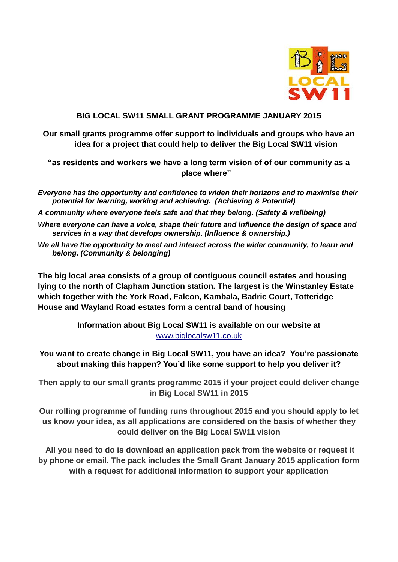

## **BIG LOCAL SW11 SMALL GRANT PROGRAMME JANUARY 2015**

**Our small grants programme offer support to individuals and groups who have an idea for a project that could help to deliver the Big Local SW11 vision** 

**"as residents and workers we have a long term vision of of our community as a place where"**

*Everyone has the opportunity and confidence to widen their horizons and to maximise their potential for learning, working and achieving. (Achieving & Potential)*

*A community where everyone feels safe and that they belong. (Safety & wellbeing)*

- *Where everyone can have a voice, shape their future and influence the design of space and services in a way that develops ownership. (Influence & ownership.)*
- *We all have the opportunity to meet and interact across the wider community, to learn and belong. (Community & belonging)*

**The big local area consists of a group of contiguous council estates and housing lying to the north of Clapham Junction station. The largest is the Winstanley Estate which together with the York Road, Falcon, Kambala, Badric Court, Totteridge House and Wayland Road estates form a central band of housing**

> **Information about Big Local SW11 is available on our website at**  [www.biglocalsw11.co.uk](http://www.biglocalsw11.co.uk/)

**You want to create change in Big Local SW11, you have an idea? You're passionate about making this happen? You'd like some support to help you deliver it?** 

**Then apply to our small grants programme 2015 if your project could deliver change in Big Local SW11 in 2015** 

**Our rolling programme of funding runs throughout 2015 and you should apply to let us know your idea, as all applications are considered on the basis of whether they could deliver on the Big Local SW11 vision** 

**All you need to do is download an application pack from the website or request it by phone or email. The pack includes the Small Grant January 2015 application form with a request for additional information to support your application**